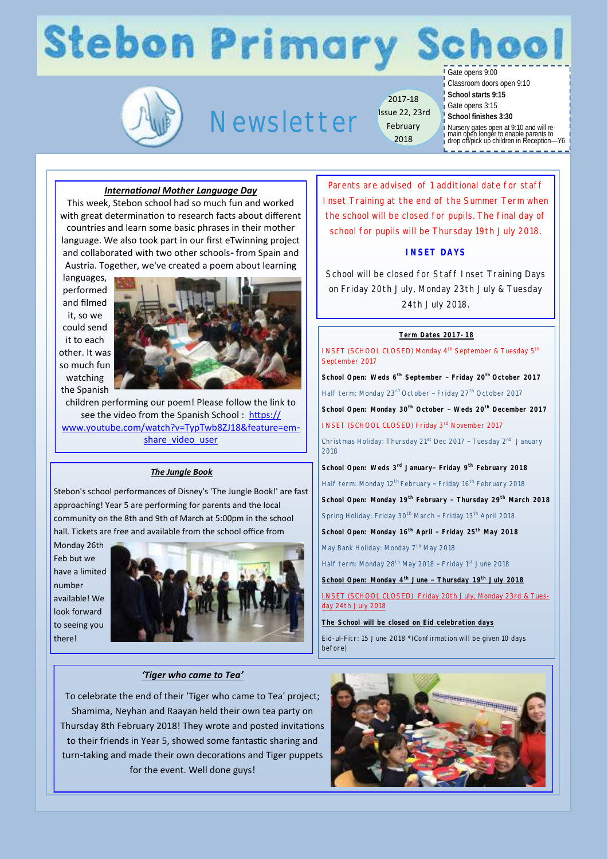## **Stebon Primary Scl**

### Newsletter

2017-18 Issue 22, 23rd February 2018

Gate opens 9:00

Classroom doors open 9:10

- **School starts 9:15** Gate opens 3:15
- **School finishes 3:30**

Nursery gates open at 9:10 and will re-main open longer to enable parents to drop off/pick up children in Reception—Y6

### *International Mother Language Day*

This week, Stebon school had so much fun and worked with great determination to research facts about different countries and learn some basic phrases in their mother language. We also took part in our first eTwinning project and collaborated with two other schools- from Spain and Austria. Together, we've created a poem about learning

languages, performed and filmed it, so we could send it to each other. It was so much fun watching the Spanish



children performing our poem! Please follow the link to see the video from the Spanish School : [https://](https://www.youtube.com/watch?v=TypTwb8ZJ18&feature=em-share_video_user) [www.youtube.com/watch?v=TypTwb8ZJ18&feature=em](https://www.youtube.com/watch?v=TypTwb8ZJ18&feature=em-share_video_user)share video user

### *The Jungle Book*

Stebon's school performances of Disney's 'The Jungle Book!' are fast approaching! Year 5 are performing for parents and the local community on the 8th and 9th of March at 5:00pm in the school hall. Tickets are free and available from the school office from

Monday 26th Feb but we have a limited number available! We look forward to seeing you there!



### *'Tiger who came to Tea'*

To celebrate the end of their 'Tiger who came to Tea' project; Shamima, Neyhan and Raayan held their own tea party on Thursday 8th February 2018! They wrote and posted invitations to their friends in Year 5, showed some fantastic sharing and turn-taking and made their own decorations and Tiger puppets for the event. Well done guys!

Parents are advised of 1 additional date for staff Inset Training at the end of the Summer Term when the school will be closed for pupils. The final day of school for pupils will be Thursday 19th July 2018.

### **INSET DAYS**

School will be closed for Staff Inset Training Days on Friday 20th July, Monday 23th July & Tuesday 24th July 2018.

#### **Term Dates 2017-18**

INSET (SCHOOL CLOSED) Monday 4<sup>th</sup> September & Tuesday 5<sup>th</sup> September 2017 **School Open: Weds 6th September – Friday 20th October 2017** Half term: Monday 23<sup>rd</sup> October - Friday 27<sup>th</sup> October 2017 **School Open: Monday 30th October – Weds 20th December 2017**  INSET (SCHOOL CLOSED) Friday 3rd November 2017 Christmas Holiday: Thursday 21<sup>st</sup> Dec 2017 - Tuesday 2<sup>nd</sup> January 2018

**School Open: Weds 3rd January– Friday 9th February 2018** Half term: Monday 12<sup>th</sup> February - Friday 16<sup>th</sup> February 2018

**School Open: Monday 19th February – Thursday 29th March 2018**

Spring Holiday: Friday 30<sup>th</sup> March - Friday 13<sup>th</sup> April 2018

**School Open: Monday 16th April – Friday 25th May 2018**

May Bank Holiday: Monday 7<sup>th</sup> May 2018

Half term: Monday 28<sup>th</sup> May 2018 - Friday 1<sup>st</sup> June 2018

**School Open: Monday 4th June – Thursday 19th July 2018**

INSET (SCHOOL CLOSED) Friday 20th July, Monday 23rd & Tuesday 24th July 2018

**The School will be closed on Eid celebration days**

Eid-ul-Fitr: 15 June 2018 \*(Confirmation will be given 10 days before)